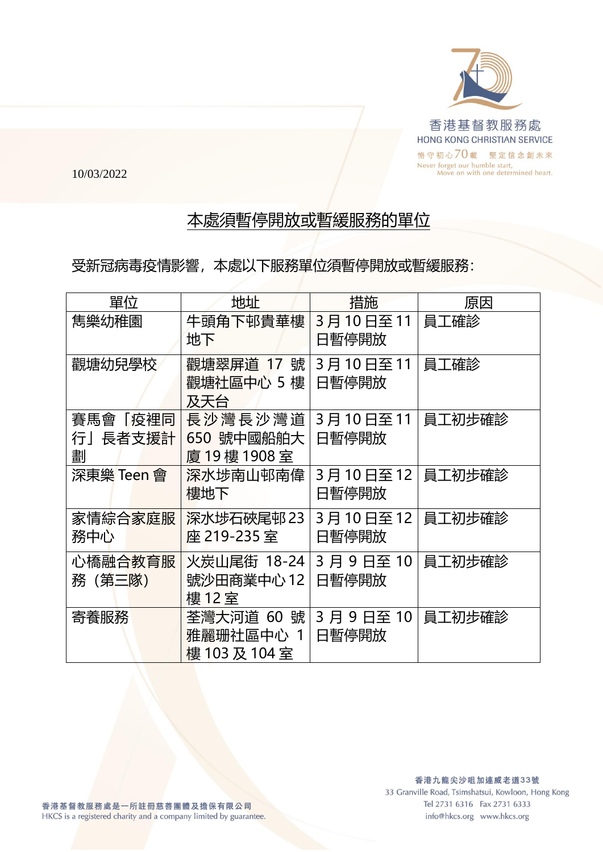

10/03/2022

## 本處須暫停開放或暫緩服務的單位

受新冠病毒疫情影響,本處以下服務單位須暫停開放或暫緩服務:

| 單位                      | 地址                                       | 措施                   | 原因     |
|-------------------------|------------------------------------------|----------------------|--------|
| 雋樂幼稚園                   | 牛頭角下邨貴華樓<br>地下                           | 3月10日至11<br>日暫停開放    | 員工確診   |
| 觀塘幼兒學校                  | 觀塘翠屏道 17 號<br>觀塘社區中心 5 樓<br>及天台          | 3月10日至11<br>日暫停開放    | 員工確診   |
| 賽馬會「疫裡同<br>行」長者支援計<br>劃 | 長沙灣長沙灣道<br>650 號中國船舶大<br>廈 19樓 1908室     | 3月10日至11<br>日暫停開放    | 員工初步確診 |
| 深東樂 Teen 會              | 深水埗南山邨南偉<br>樓地下                          | 3月10日至12<br>日暫停開放    | 員工初步確診 |
| 家情綜合家庭服<br>務中心          | 深水埗石硤尾邨 23<br>座 219-235 室                | 3月 10 日至 12<br>日暫停開放 | 員工初步確診 |
| 心橋融合教育服<br>務(第三隊)       | 火炭山尾街 18-24<br>號沙田商業中心 12<br>樓 12 室      | 3 月 9 日至 10<br>日暫停開放 | 員工初步確診 |
| 寄養服務                    | 荃灣大河道 60 號<br>雅麗珊社區中心 1<br>樓 103 及 104 室 | 3 月 9 日至 10<br>日暫停開放 | 員工初步確診 |

info@hkcs.org www.hkcs.org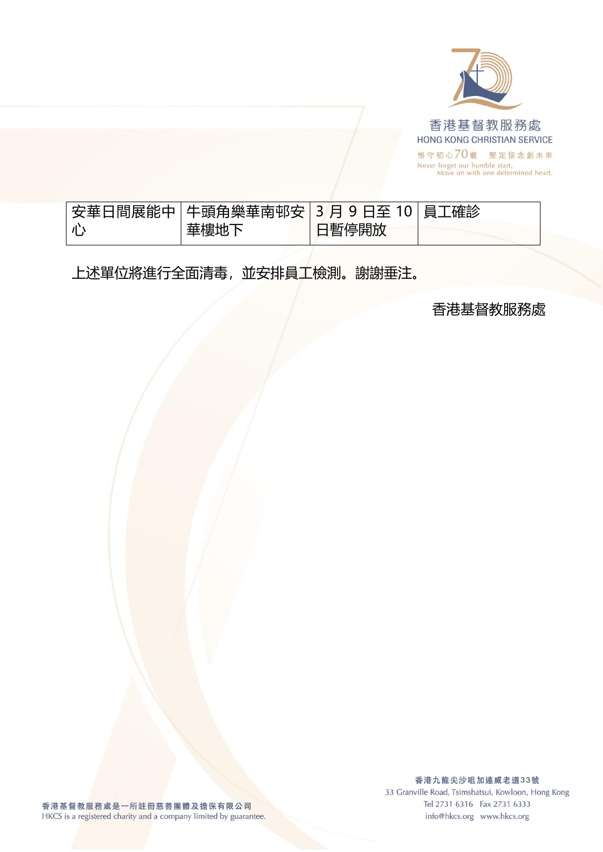

|                         | 安華日間展能中   牛頭角樂華南邨安   3 月 9 日至 10   員工確診 |       |  |
|-------------------------|-----------------------------------------|-------|--|
| $\vert \parallel \vert$ | 華樓地下                                    | 日暫停開放 |  |

上述單位將進行全面清毒,並安排員工檢測。謝謝垂注。

香港基督教服務處

香港九龍尖沙咀加連威老道33號 33 Granville Road, Tsimshatsui, Kowloon, Hong Kong Tel 2731 6316 Fax 2731 6333 info@hkcs.org www.hkcs.org

香港基督教服務處是一所註冊慈善團體及擔保有限公司 HKCS is a registered charity and a company limited by guarantee.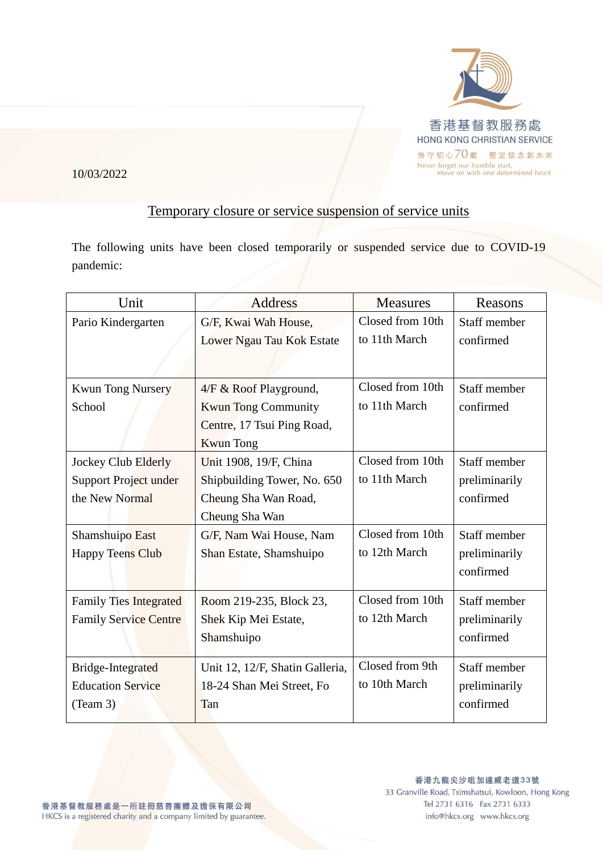

## 10/03/2022

## Temporary closure or service suspension of service units

The following units have been closed temporarily or suspended service due to COVID-19 pandemic:

| Staff member<br>confirmed |
|---------------------------|
|                           |
|                           |
|                           |
| Staff member              |
| confirmed                 |
|                           |
|                           |
| Staff member              |
| preliminarily             |
| confirmed                 |
|                           |
| Staff member              |
| preliminarily             |
| confirmed                 |
| Staff member              |
| preliminarily             |
| confirmed                 |
| Staff member              |
| preliminarily             |
|                           |
| confirmed                 |